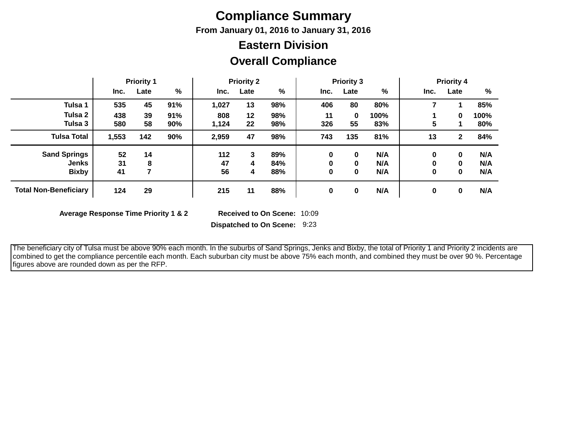# **Compliance Summary**

**From January 01, 2016 to January 31, 2016**

## **Eastern Division**

### **Overall Compliance**

|                              | <b>Priority 1</b> |      |     | <b>Priority 2</b> |      |     | <b>Priority 3</b> |      |      | <b>Priority 4</b> |              |      |
|------------------------------|-------------------|------|-----|-------------------|------|-----|-------------------|------|------|-------------------|--------------|------|
|                              | Inc.              | Late | %   | Inc.              | Late | %   | Inc.              | Late | %    | Inc.              | Late         | %    |
| Tulsa 1                      | 535               | 45   | 91% | 1,027             | 13   | 98% | 406               | 80   | 80%  |                   |              | 85%  |
| Tulsa 2                      | 438               | 39   | 91% | 808               | 12   | 98% | 11                | 0    | 100% |                   | $\mathbf{0}$ | 100% |
| Tulsa 3                      | 580               | 58   | 90% | 1,124             | 22   | 98% | 326               | 55   | 83%  | 5                 |              | 80%  |
| <b>Tulsa Total</b>           | 1,553             | 142  | 90% | 2,959             | 47   | 98% | 743               | 135  | 81%  | 13                | $\mathbf{2}$ | 84%  |
| <b>Sand Springs</b>          | 52                | 14   |     | 112               | 3    | 89% | $\bf{0}$          | 0    | N/A  | 0                 | 0            | N/A  |
| <b>Jenks</b>                 | 31                | 8    |     | 47                | 4    | 84% | 0                 | 0    | N/A  | 0                 | 0            | N/A  |
| <b>Bixby</b>                 | 41                |      |     | 56                | 4    | 88% | 0                 | 0    | N/A  | 0                 | $\mathbf 0$  | N/A  |
| <b>Total Non-Beneficiary</b> | 124               | 29   |     | 215               | 11   | 88% | 0                 | 0    | N/A  | 0                 | 0            | N/A  |

**Average Response Time Priority 1 & 2** 

Received to On Scene: 10:09

**Dispatched to On Scene:** 9:23

 The beneficiary city of Tulsa must be above 90% each month. In the suburbs of Sand Springs, Jenks and Bixby, the total of Priority 1 and Priority 2 incidents are combined to get the compliance percentile each month. Each suburban city must be above 75% each month, and combined they must be over 90 %. Percentage figures above are rounded down as per the RFP.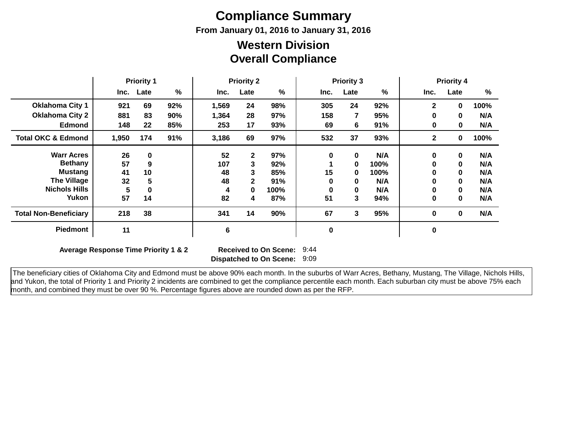# **Compliance Summary**

**From January 01, 2016 to January 31, 2016**

### **Overall Compliance Western Division**

|                               | <b>Priority 1</b> |           | <b>Priority 2</b> |       |              | <b>Priority 3</b> |      |      | <b>Priority 4</b> |              |             |      |
|-------------------------------|-------------------|-----------|-------------------|-------|--------------|-------------------|------|------|-------------------|--------------|-------------|------|
|                               |                   | Inc. Late | %                 | Inc.  | Late         | %                 | Inc. | Late | %                 | Inc.         | Late        | %    |
| <b>Oklahoma City 1</b>        | 921               | 69        | 92%               | 1,569 | 24           | 98%               | 305  | 24   | 92%               | 2            | 0           | 100% |
| <b>Oklahoma City 2</b>        | 881               | 83        | 90%               | 1,364 | 28           | 97%               | 158  | 7    | 95%               | $\bf{0}$     | $\mathbf 0$ | N/A  |
| Edmond                        | 148               | 22        | 85%               | 253   | 17           | 93%               | 69   | 6    | 91%               | 0            | 0           | N/A  |
| <b>Total OKC &amp; Edmond</b> | 1,950             | 174       | 91%               | 3,186 | 69           | 97%               | 532  | 37   | 93%               | $\mathbf{2}$ | $\bf{0}$    | 100% |
| <b>Warr Acres</b>             | 26                | 0         |                   | 52    | $\mathbf{2}$ | 97%               | 0    | 0    | N/A               | 0            | $\mathbf 0$ | N/A  |
| <b>Bethany</b>                | 57                | 9         |                   | 107   | 3            | 92%               |      | 0    | 100%              | 0            | $\bf{0}$    | N/A  |
| <b>Mustang</b>                | 41                | 10        |                   | 48    | 3            | 85%               | 15   | 0    | 100%              | 0            | 0           | N/A  |
| <b>The Village</b>            | 32                | 5         |                   | 48    | $\mathbf{2}$ | 91%               | 0    | 0    | N/A               | 0            | $\bf{0}$    | N/A  |
| <b>Nichols Hills</b>          | 5                 |           |                   | 4     | 0            | 100%              | O    | 0    | N/A               | 0            | 0           | N/A  |
| Yukon                         | 57                | 14        |                   | 82    | 4            | 87%               | 51   | 3    | 94%               | 0            | $\bf{0}$    | N/A  |
| <b>Total Non-Beneficiary</b>  | 218               | 38        |                   | 341   | 14           | 90%               | 67   | 3    | 95%               | 0            | $\bf{0}$    | N/A  |
| Piedmont                      | 11                |           |                   | 6     |              |                   | 0    |      |                   | 0            |             |      |

**Average Response Time Priority 1 & 2** 

**Dispatched to On Scene:** 9:09 Received to On Scene: 9:44

 The beneficiary cities of Oklahoma City and Edmond must be above 90% each month. In the suburbs of Warr Acres, Bethany, Mustang, The Village, Nichols Hills, and Yukon, the total of Priority 1 and Priority 2 incidents are combined to get the compliance percentile each month. Each suburban city must be above 75% each month, and combined they must be over 90 %. Percentage figures above are rounded down as per the RFP.